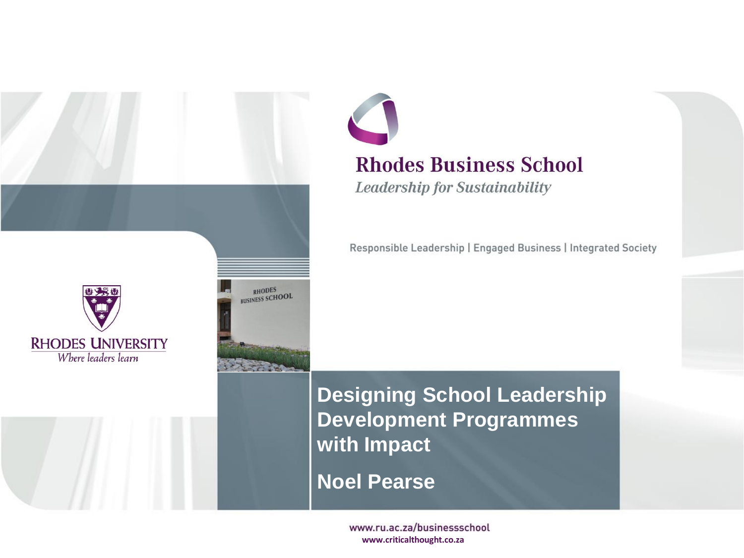

#### **Rhodes Business School**

**Leadership for Sustainability** 

Responsible Leadership | Engaged Business | Integrated Society

**Designing School Leadership Development Programmes with Impact**

**Noel Pearse**

www.ru.ac.za/businessschool **www.criticalthought.co.za**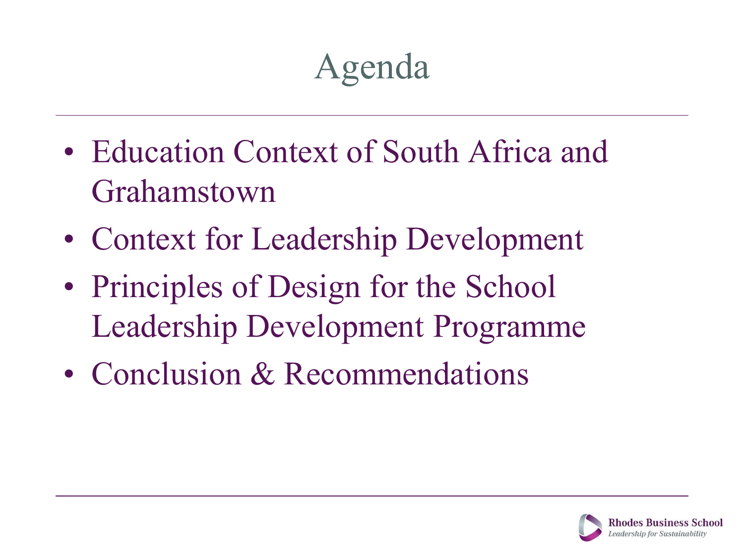## Agenda

- Education Context of South Africa and Grahamstown
- Context for Leadership Development
- Principles of Design for the School Leadership Development Programme
- Conclusion & Recommendations

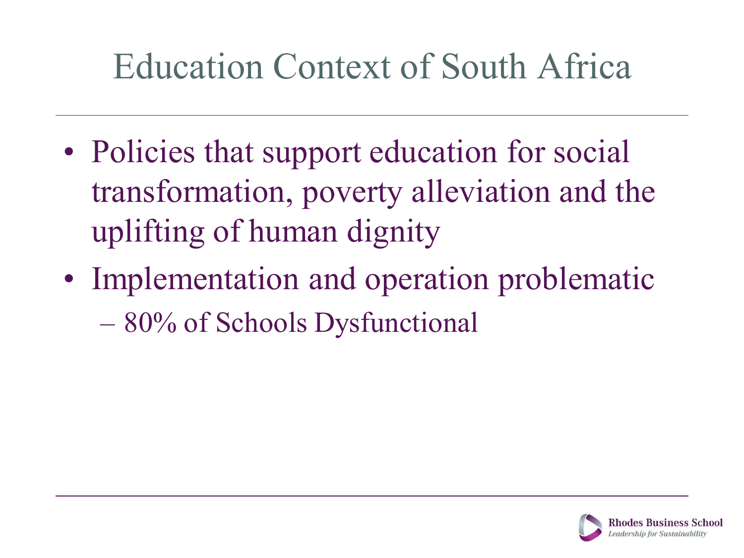#### Education Context of South Africa

- Policies that support education for social transformation, poverty alleviation and the uplifting of human dignity
- Implementation and operation problematic – 80% of Schools Dysfunctional

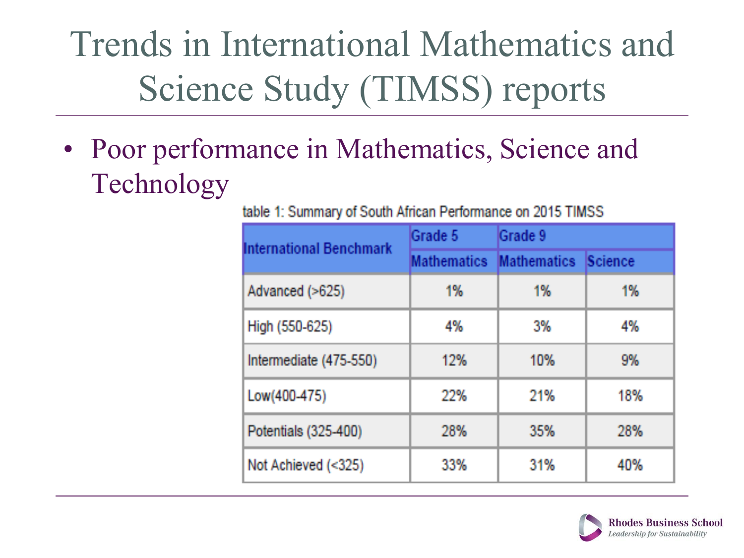Trends in International Mathematics and Science Study (TIMSS) reports

• Poor performance in Mathematics, Science and Technology

table 1: Summary of South African Performance on 2015 TIMSS

| <b>International Benchmark</b> | Grade 5                 | Grade 9 |         |
|--------------------------------|-------------------------|---------|---------|
|                                | Mathematics Mathematics |         | Science |
| Advanced (>625)                | 1%                      | 1%      | 1%      |
| High (550-625)                 | 4%                      | -3%     | 4%      |
| Intermediate (475-550)         | 12%                     | 10%     | 9%      |
| Low(400-475)                   | 22%                     | 21%     | 18%     |
| Potentials (325-400)           | 28%                     | 35%     | 28%     |
| Not Achieved (<325)            | 33%                     | 31%     | 40%     |

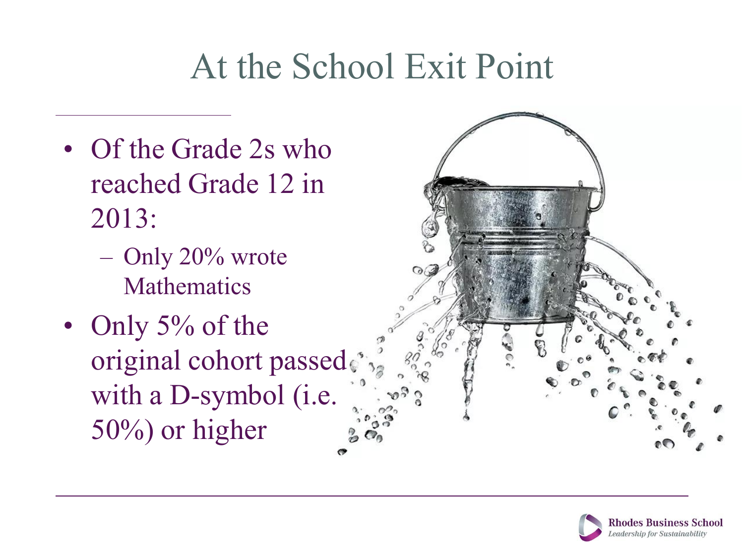#### At the School Exit Point

- Of the Grade 2s who reached Grade 12 in 2013:
	- Only 20% wrote Mathematics
- Only 5% of the original cohort passed. with a D-symbol (i.e. 50%) or higher



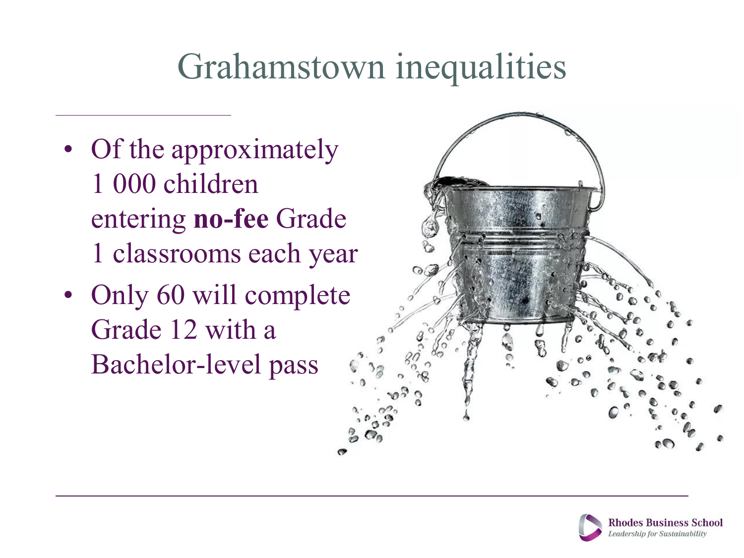#### Grahamstown inequalities

- Of the approximately 1 000 children entering **no-fee** Grade 1 classrooms each year
- Only 60 will complete Grade 12 with a Bachelor-level pass



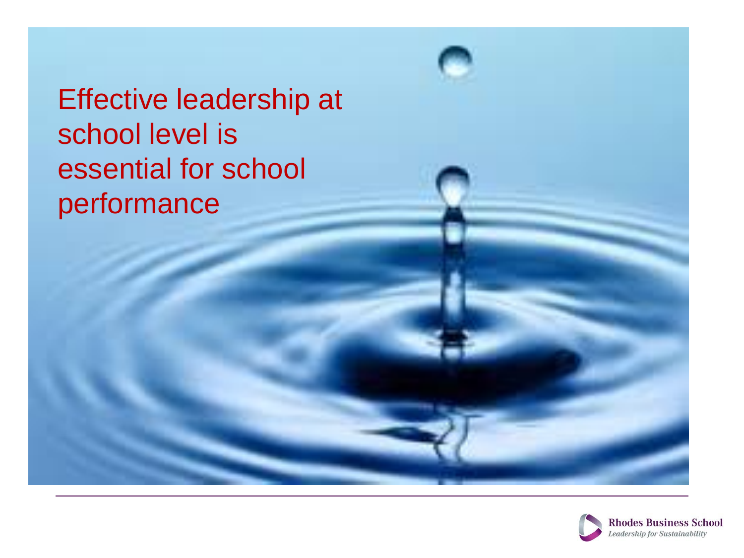Effective leadership at school level is essential for school performance

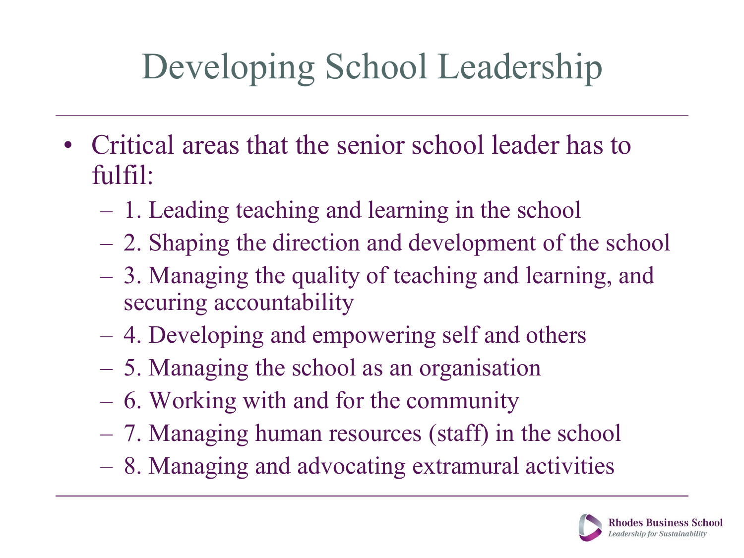# Developing School Leadership

- Critical areas that the senior school leader has to fulfil:
	- 1. Leading teaching and learning in the school
	- 2. Shaping the direction and development of the school
	- 3. Managing the quality of teaching and learning, and securing accountability
	- 4. Developing and empowering self and others
	- 5. Managing the school as an organisation
	- 6. Working with and for the community
	- 7. Managing human resources (staff) in the school
	- 8. Managing and advocating extramural activities

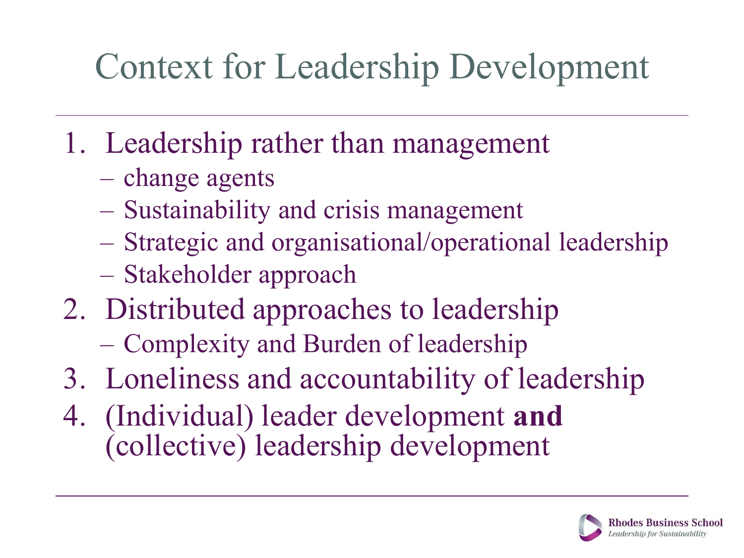### Context for Leadership Development

- 1. Leadership rather than management
	- change agents
	- Sustainability and crisis management
	- Strategic and organisational/operational leadership
	- Stakeholder approach
- 2. Distributed approaches to leadership
	- Complexity and Burden of leadership
- 3. Loneliness and accountability of leadership
- 4. (Individual) leader development **and** (collective) leadership development

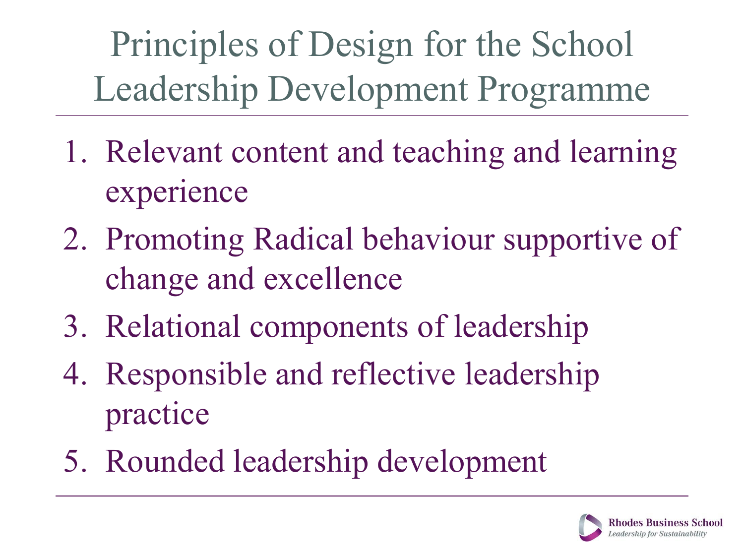Principles of Design for the School Leadership Development Programme

- 1. Relevant content and teaching and learning experience
- 2. Promoting Radical behaviour supportive of change and excellence
- 3. Relational components of leadership
- 4. Responsible and reflective leadership practice
- 5. Rounded leadership development

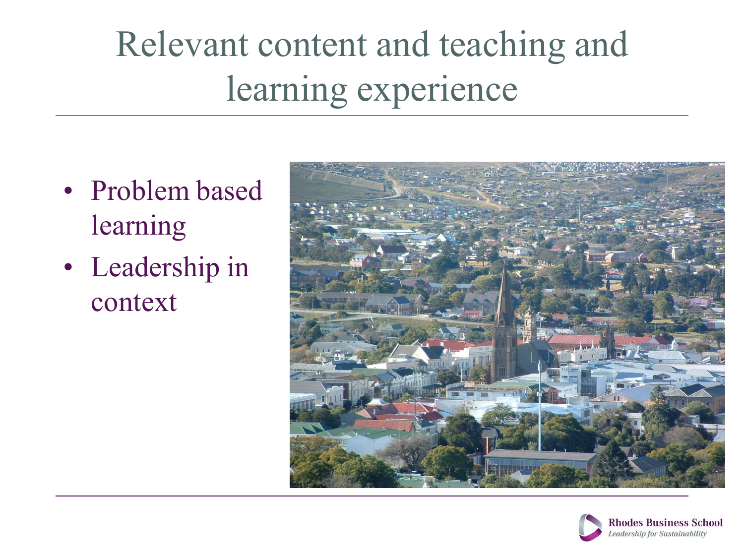# Relevant content and teaching and learning experience

- Problem based learning
- Leadership in context



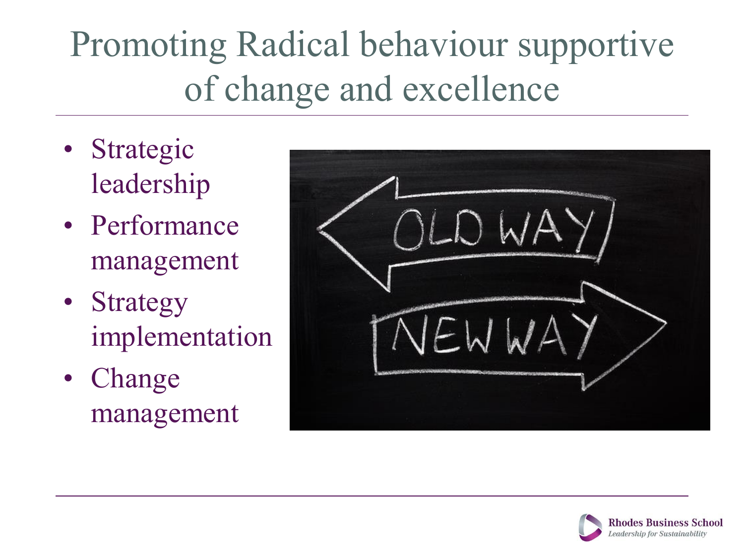# Promoting Radical behaviour supportive of change and excellence

- Strategic leadership
- Performance management
- Strategy implementation
- Change management

| į. |
|----|
| P. |
| Eh |

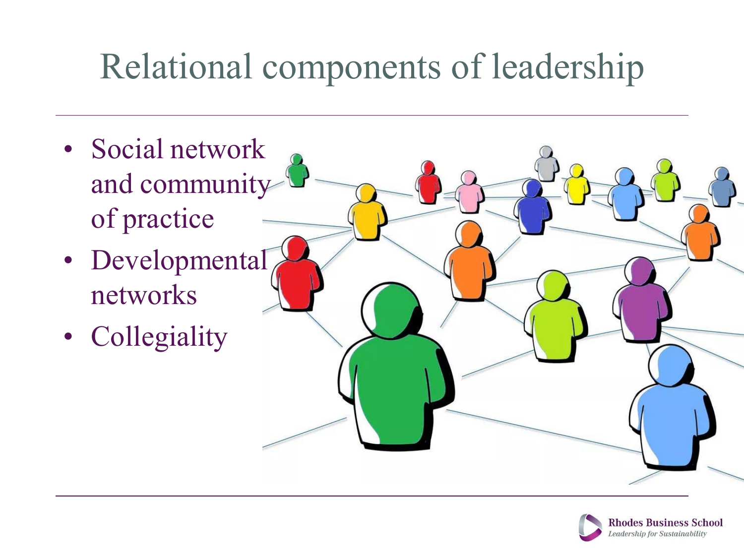### Relational components of leadership

- Social network and community of practice
- Developmental networks
- Collegiality

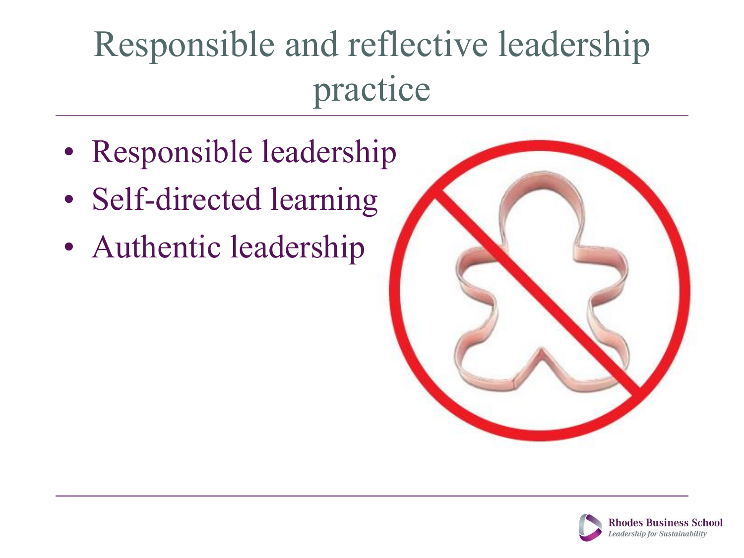# Responsible and reflective leadership practice

- Responsible leadership
- Self-directed learning
- Authentic leadership



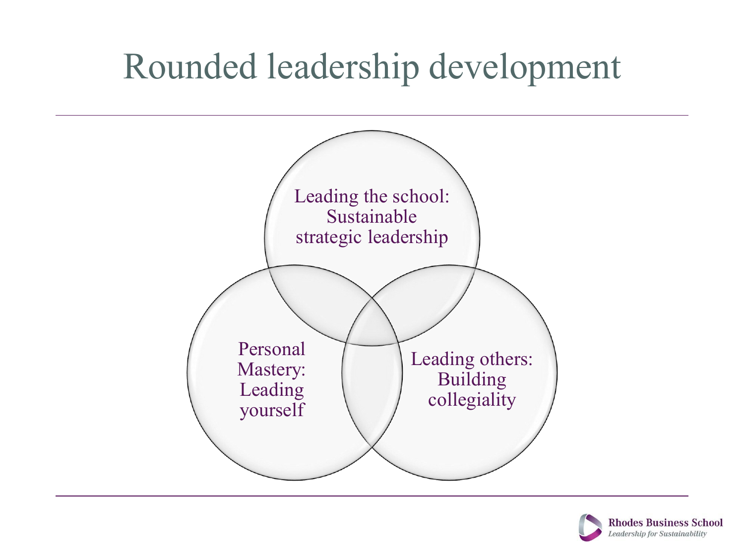#### Rounded leadership development



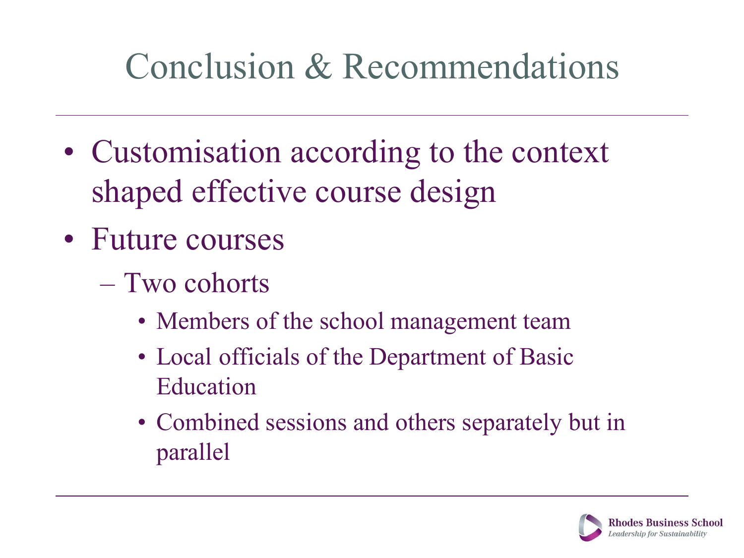### Conclusion & Recommendations

- Customisation according to the context shaped effective course design
- Future courses
	- Two cohorts
		- Members of the school management team
		- Local officials of the Department of Basic Education
		- Combined sessions and others separately but in parallel